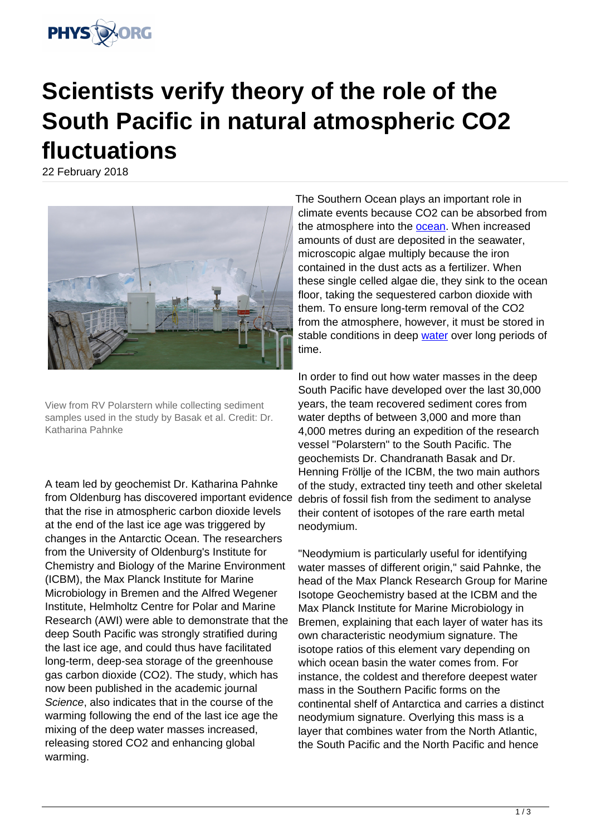

## **Scientists verify theory of the role of the South Pacific in natural atmospheric CO2 fluctuations**

22 February 2018



View from RV Polarstern while collecting sediment samples used in the study by Basak et al. Credit: Dr. Katharina Pahnke

A team led by geochemist Dr. Katharina Pahnke from Oldenburg has discovered important evidence that the rise in atmospheric carbon dioxide levels at the end of the last ice age was triggered by changes in the Antarctic Ocean. The researchers from the University of Oldenburg's Institute for Chemistry and Biology of the Marine Environment (ICBM), the Max Planck Institute for Marine Microbiology in Bremen and the Alfred Wegener Institute, Helmholtz Centre for Polar and Marine Research (AWI) were able to demonstrate that the deep South Pacific was strongly stratified during the last ice age, and could thus have facilitated long-term, deep-sea storage of the greenhouse gas carbon dioxide (CO2). The study, which has now been published in the academic journal Science, also indicates that in the course of the warming following the end of the last ice age the mixing of the deep water masses increased, releasing stored CO2 and enhancing global warming.

The Southern Ocean plays an important role in climate events because CO2 can be absorbed from the atmosphere into the [ocean](https://phys.org/tags/ocean/). When increased amounts of dust are deposited in the seawater, microscopic algae multiply because the iron contained in the dust acts as a fertilizer. When these single celled algae die, they sink to the ocean floor, taking the sequestered carbon dioxide with them. To ensure long-term removal of the CO2 from the atmosphere, however, it must be stored in stable conditions in deep [water](https://phys.org/tags/water/) over long periods of time.

In order to find out how water masses in the deep South Pacific have developed over the last 30,000 years, the team recovered sediment cores from water depths of between 3,000 and more than 4,000 metres during an expedition of the research vessel "Polarstern" to the South Pacific. The geochemists Dr. Chandranath Basak and Dr. Henning Fröllje of the ICBM, the two main authors of the study, extracted tiny teeth and other skeletal debris of fossil fish from the sediment to analyse their content of isotopes of the rare earth metal neodymium.

"Neodymium is particularly useful for identifying water masses of different origin," said Pahnke, the head of the Max Planck Research Group for Marine Isotope Geochemistry based at the ICBM and the Max Planck Institute for Marine Microbiology in Bremen, explaining that each layer of water has its own characteristic neodymium signature. The isotope ratios of this element vary depending on which ocean basin the water comes from. For instance, the coldest and therefore deepest water mass in the Southern Pacific forms on the continental shelf of Antarctica and carries a distinct neodymium signature. Overlying this mass is a layer that combines water from the North Atlantic, the South Pacific and the North Pacific and hence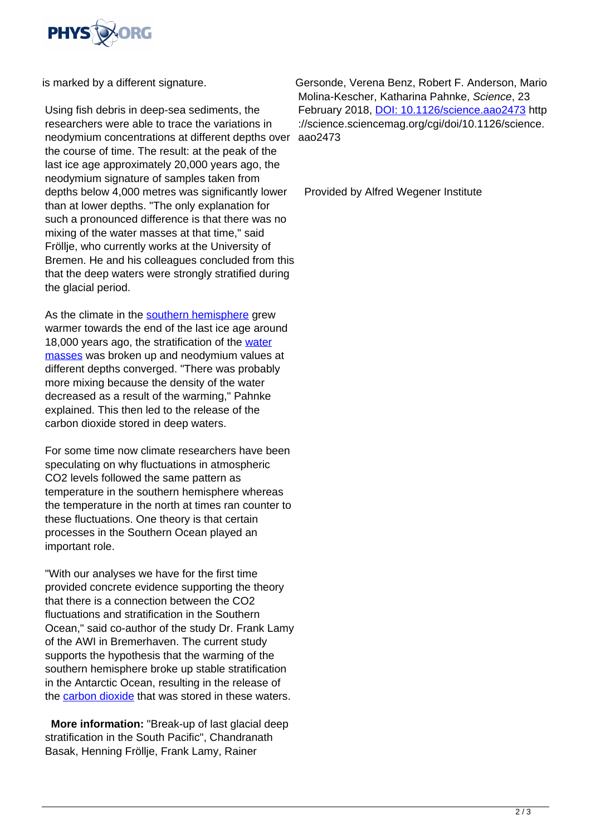

is marked by a different signature.

Using fish debris in deep-sea sediments, the researchers were able to trace the variations in neodymium concentrations at different depths over aao2473 the course of time. The result: at the peak of the last ice age approximately 20,000 years ago, the neodymium signature of samples taken from depths below 4,000 metres was significantly lower than at lower depths. "The only explanation for such a pronounced difference is that there was no mixing of the water masses at that time," said Fröllje, who currently works at the University of Bremen. He and his colleagues concluded from this that the deep waters were strongly stratified during the glacial period.

As the climate in the [southern hemisphere](https://phys.org/tags/southern+hemisphere/) grew warmer towards the end of the last ice age around 18,000 years ago, the stratification of the [water](https://phys.org/tags/water+masses/) [masses](https://phys.org/tags/water+masses/) was broken up and neodymium values at different depths converged. "There was probably more mixing because the density of the water decreased as a result of the warming," Pahnke explained. This then led to the release of the carbon dioxide stored in deep waters.

For some time now climate researchers have been speculating on why fluctuations in atmospheric CO2 levels followed the same pattern as temperature in the southern hemisphere whereas the temperature in the north at times ran counter to these fluctuations. One theory is that certain processes in the Southern Ocean played an important role.

"With our analyses we have for the first time provided concrete evidence supporting the theory that there is a connection between the CO2 fluctuations and stratification in the Southern Ocean," said co-author of the study Dr. Frank Lamy of the AWI in Bremerhaven. The current study supports the hypothesis that the warming of the southern hemisphere broke up stable stratification in the Antarctic Ocean, resulting in the release of the [carbon dioxide](https://phys.org/tags/carbon+dioxide/) that was stored in these waters.

 **More information:** "Break-up of last glacial deep stratification in the South Pacific", Chandranath Basak, Henning Fröllje, Frank Lamy, Rainer

Gersonde, Verena Benz, Robert F. Anderson, Mario Molina-Kescher, Katharina Pahnke, Science, 23 February 2018, [DOI: 10.1126/science.aao2473](http://dx.doi.org/10.1126/science.aao2473) http ://science.sciencemag.org/cgi/doi/10.1126/science.

Provided by Alfred Wegener Institute